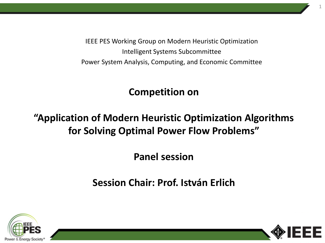IEEE PES Working Group on Modern Heuristic Optimization Intelligent Systems Subcommittee Power System Analysis, Computing, and Economic Committee

# **Competition on**

# **"Application of Modern Heuristic Optimization Algorithms for Solving Optimal Power Flow Problems"**

# **Panel session**

# **Session Chair: Prof. István Erlich**



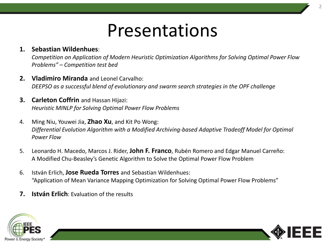# Presentations

# **1. Sebastian Wildenhues**:

*Competition on Application of Modern Heuristic Optimization Algorithms for Solving Optimal Power Flow Problems" – Competition test bed*

- **2. Vladimiro Miranda** and Leonel Carvalho: *DEEPSO as a successful blend of evolutionary and swarm search strategies in the OPF challenge*
- **3. Carleton Coffrin** and Hassan Hijazi: *Heuristic MINLP for Solving Optimal Power Flow Problems*
- 4. Ming Niu, Youwei Jia, **Zhao Xu**, and Kit Po Wong: *Differential Evolution Algorithm with a Modified Archiving-based Adaptive Tradeoff Model for Optimal Power Flow*
- 5. Leonardo H. Macedo, Marcos J. Rider, **John F. Franco**, Rubén Romero and Edgar Manuel Carreño: A Modified Chu-Beasley's Genetic Algorithm to Solve the Optimal Power Flow Problem
- 6. István Erlich, **Jose Rueda Torres** and Sebastian Wildenhues: "Application of Mean Variance Mapping Optimization for Solving Optimal Power Flow Problems"
- **7. István Erlich**: Evaluation of the results



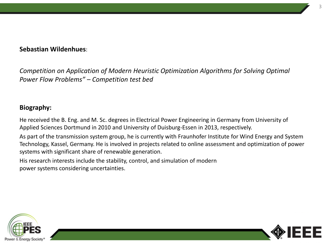## **Sebastian Wildenhues**:

*Competition on Application of Modern Heuristic Optimization Algorithms for Solving Optimal Power Flow Problems" – Competition test bed*

## **Biography:**

He received the B. Eng. and M. Sc. degrees in Electrical Power Engineering in Germany from University of Applied Sciences Dortmund in 2010 and University of Duisburg-Essen in 2013, respectively.

As part of the transmission system group, he is currently with Fraunhofer Institute for Wind Energy and System Technology, Kassel, Germany. He is involved in projects related to online assessment and optimization of power systems with significant share of renewable generation.

His research interests include the stability, control, and simulation of modern power systems considering uncertainties.



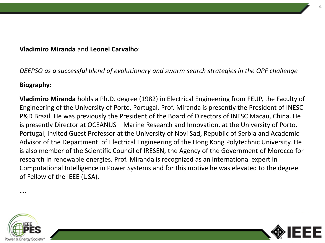## **Vladimiro Miranda** and **Leonel Carvalho**:

# *DEEPSO as a successful blend of evolutionary and swarm search strategies in the OPF challenge*

## **Biography:**

**Vladimiro Miranda** holds a Ph.D. degree (1982) in Electrical Engineering from FEUP, the Faculty of Engineering of the University of Porto, Portugal. Prof. Miranda is presently the President of INESC P&D Brazil. He was previously the President of the Board of Directors of INESC Macau, China. He is presently Director at OCEANUS – Marine Research and Innovation, at the University of Porto, Portugal, invited Guest Professor at the University of Novi Sad, Republic of Serbia and Academic Advisor of the Department of Electrical Engineering of the Hong Kong Polytechnic University. He is also member of the Scientific Council of IRESEN, the Agency of the Government of Morocco for research in renewable energies. Prof. Miranda is recognized as an international expert in Computational Intelligence in Power Systems and for this motive he was elevated to the degree of Fellow of the IEEE (USA).





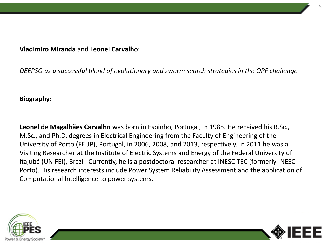#### **Vladimiro Miranda** and **Leonel Carvalho**:

*DEEPSO as a successful blend of evolutionary and swarm search strategies in the OPF challenge*

#### **Biography:**

**Leonel de Magalhães Carvalho** was born in Espinho, Portugal, in 1985. He received his B.Sc., M.Sc., and Ph.D. degrees in Electrical Engineering from the Faculty of Engineering of the University of Porto (FEUP), Portugal, in 2006, 2008, and 2013, respectively. In 2011 he was a Visiting Researcher at the Institute of Electric Systems and Energy of the Federal University of Itajubá (UNIFEI), Brazil. Currently, he is a postdoctoral researcher at INESC TEC (formerly INESC Porto). His research interests include Power System Reliability Assessment and the application of Computational Intelligence to power systems.



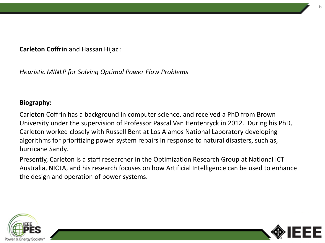**Carleton Coffrin** and Hassan Hijazi:

*Heuristic MINLP for Solving Optimal Power Flow Problems*

#### **Biography:**

Carleton Coffrin has a background in computer science, and received a PhD from Brown University under the supervision of Professor Pascal Van Hentenryck in 2012. During his PhD, Carleton worked closely with Russell Bent at Los Alamos National Laboratory developing algorithms for prioritizing power system repairs in response to natural disasters, such as, hurricane Sandy.

Presently, Carleton is a staff researcher in the Optimization Research Group at National ICT Australia, NICTA, and his research focuses on how Artificial Intelligence can be used to enhance the design and operation of power systems.



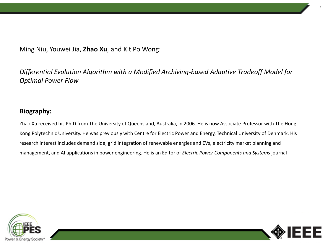Ming Niu, Youwei Jia, **Zhao Xu**, and Kit Po Wong:

*Differential Evolution Algorithm with a Modified Archiving-based Adaptive Tradeoff Model for Optimal Power Flow*

#### **Biography:**

Zhao Xu received his Ph.D from The University of Queensland, Australia, in 2006. He is now Associate Professor with The Hong Kong Polytechnic University. He was previously with Centre for Electric Power and Energy, Technical University of Denmark. His research interest includes demand side, grid integration of renewable energies and EVs, electricity market planning and management, and AI applications in power engineering. He is an Editor of *Electric Power Components and Systems* journal



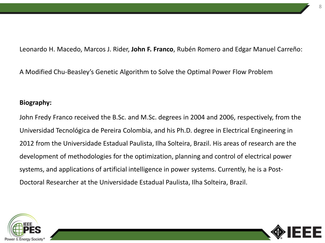Leonardo H. Macedo, Marcos J. Rider, **John F. Franco**, Rubén Romero and Edgar Manuel Carreño:

A Modified Chu-Beasley's Genetic Algorithm to Solve the Optimal Power Flow Problem

#### **Biography:**

John Fredy Franco received the B.Sc. and M.Sc. degrees in 2004 and 2006, respectively, from the Universidad Tecnológica de Pereira Colombia, and his Ph.D. degree in Electrical Engineering in 2012 from the Universidade Estadual Paulista, Ilha Solteira, Brazil. His areas of research are the development of methodologies for the optimization, planning and control of electrical power systems, and applications of artificial intelligence in power systems. Currently, he is a Post-Doctoral Researcher at the Universidade Estadual Paulista, Ilha Solteira, Brazil.



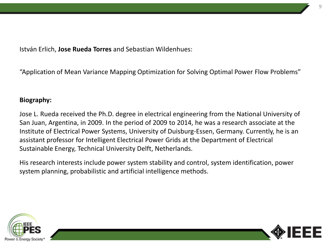István Erlich, **Jose Rueda Torres** and Sebastian Wildenhues:

"Application of Mean Variance Mapping Optimization for Solving Optimal Power Flow Problems"

#### **Biography:**

Jose L. Rueda received the Ph.D. degree in electrical engineering from the National University of San Juan, Argentina, in 2009. In the period of 2009 to 2014, he was a research associate at the Institute of Electrical Power Systems, University of Duisburg-Essen, Germany. Currently, he is an assistant professor for Intelligent Electrical Power Grids at the Department of Electrical Sustainable Energy, Technical University Delft, Netherlands.

His research interests include power system stability and control, system identification, power system planning, probabilistic and artificial intelligence methods.